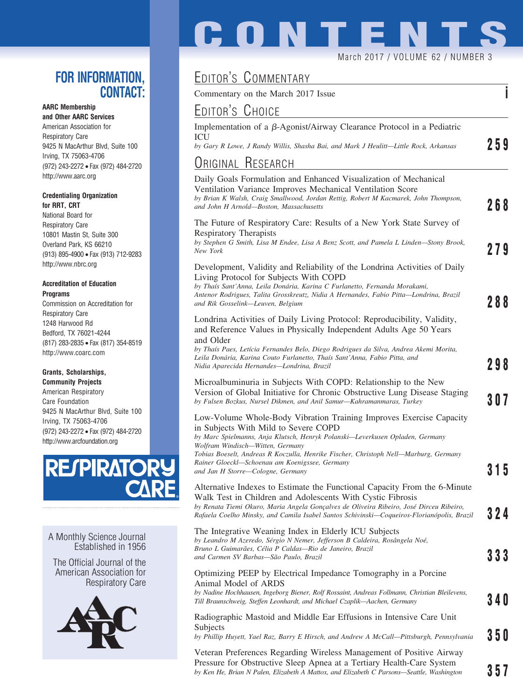### **FOR INFORMATION, CONTACT:**

### **AARC Membership**

**and Other AARC Services** American Association for Respiratory Care 9425 N MacArthur Blvd, Suite 100 Irving, TX 75063-4706 (972) 243-2272 • Fax (972) 484-2720 http://www.aarc.org

#### **Credentialing Organization for RRT, CRT**

National Board for Respiratory Care 10801 Mastin St, Suite 300 Overland Park, KS 66210 (913) 895-4900 • Fax (913) 712-9283 http://www.nbrc.org

#### **Accreditation of Education Programs**

Commission on Accreditation for Respiratory Care 1248 Harwood Rd Bedford, TX 76021-4244 (817) 283-2835 • Fax (817) 354-8519 http://www.coarc.com

### **Grants, Scholarships,**

**Community Projects** American Respiratory Care Foundation 9425 N MacArthur Blvd, Suite 100 Irving, TX 75063-4706 (972) 243-2272 • Fax (972) 484-2720 http://www.arcfoundation.org



A Monthly Science Journal Established in 1956

The Official Journal of the American Association for Respiratory Care



# **CONTENT** March 2017 / VOLUME 62 / NUMBER 3

## EDITOR'S COMMENTARY

Commentary on the March 2017 Issue **i**

## EDITOR'S CHOICE

| EDITORS UHOICE                                                                                                                                                                                                                                                                                                                   |     |
|----------------------------------------------------------------------------------------------------------------------------------------------------------------------------------------------------------------------------------------------------------------------------------------------------------------------------------|-----|
| Implementation of a β-Agonist/Airway Clearance Protocol in a Pediatric<br>ICU                                                                                                                                                                                                                                                    | 259 |
| by Gary R Lowe, J Randy Willis, Shasha Bai, and Mark J Heulitt-Little Rock, Arkansas                                                                                                                                                                                                                                             |     |
| <b>URIGINAL RESEARCH</b>                                                                                                                                                                                                                                                                                                         |     |
| Daily Goals Formulation and Enhanced Visualization of Mechanical<br>Ventilation Variance Improves Mechanical Ventilation Score<br>by Brian K Walsh, Craig Smallwood, Jordan Rettig, Robert M Kacmarek, John Thompson,<br>and John H Arnold—Boston, Massachusetts                                                                 | 268 |
| The Future of Respiratory Care: Results of a New York State Survey of<br><b>Respiratory Therapists</b><br>by Stephen G Smith, Lisa M Endee, Lisa A Benz Scott, and Pamela L Linden-Stony Brook,<br>New York                                                                                                                      | 279 |
| Development, Validity and Reliability of the Londrina Activities of Daily<br>Living Protocol for Subjects With COPD<br>by Thaís Sant'Anna, Leila Donária, Karina C Furlanetto, Fernanda Morakami,<br>Antenor Rodrigues, Talita Grosskreutz, Nidia A Hernandes, Fabio Pitta—Londrina, Brazil<br>and Rik Gosselink-Leuven, Belgium | 288 |
| Londrina Activities of Daily Living Protocol: Reproducibility, Validity,<br>and Reference Values in Physically Independent Adults Age 50 Years<br>and Older                                                                                                                                                                      |     |
| by Thaís Paes, Letícia Fernandes Belo, Diego Rodrigues da Silva, Andrea Akemi Morita,<br>Leila Donária, Karina Couto Furlanetto, Thaís Sant'Anna, Fabio Pitta, and<br>Nidia Aparecida Hernandes—Londrina, Brazil                                                                                                                 | 298 |
| Microalbuminuria in Subjects With COPD: Relationship to the New<br>Version of Global Initiative for Chronic Obstructive Lung Disease Staging<br>by Fulsen Bozkus, Nursel Dikmen, and Anil Samur-Kahramanmaras, Turkey                                                                                                            | 307 |
| Low-Volume Whole-Body Vibration Training Improves Exercise Capacity<br>in Subjects With Mild to Severe COPD<br>by Marc Spielmanns, Anja Klutsch, Henryk Polanski-Leverkusen Opladen, Germany<br>Wolfram Windisch—Witten, Germany<br>Tobias Boeselt, Andreas R Koczulla, Henrike Fischer, Christoph Nell—Marburg, Germany         |     |
| Rainer Gloeckl—Schoenau am Koenigssee, Germany<br>and Jan H Storre-Cologne, Germany                                                                                                                                                                                                                                              | 315 |
| Alternative Indexes to Estimate the Functional Capacity From the 6-Minute<br>Walk Test in Children and Adolescents With Cystic Fibrosis<br>by Renata Tiemi Okuro, Maria Angela Gonçalves de Oliveira Ribeiro, José Dirceu Ribeiro,<br>Rafaela Coelho Minsky, and Camila Isabel Santos Schivinski—Coqueiros-Florianópolis, Brazil | 324 |
| The Integrative Weaning Index in Elderly ICU Subjects<br>by Leandro M Azeredo, Sérgio N Nemer, Jefferson B Caldeira, Rosângela Noé,<br>Bruno L Guimarães, Célia P Caldas—Rio de Janeiro, Brazil<br>and Carmen SV Barbas—São Paulo, Brazil                                                                                        | 333 |
| Optimizing PEEP by Electrical Impedance Tomography in a Porcine<br>Animal Model of ARDS<br>by Nadine Hochhausen, Ingeborg Biener, Rolf Rossaint, Andreas Follmann, Christian Bleilevens,<br>Till Braunschweig, Steffen Leonhardt, and Michael Czaplik—Aachen, Germany                                                            | 34O |
| Radiographic Mastoid and Middle Ear Effusions in Intensive Care Unit<br>Subjects<br>by Phillip Huyett, Yael Raz, Barry E Hirsch, and Andrew A McCall-Pittsburgh, Pennsylvania                                                                                                                                                    | 35O |
| Veteran Preferences Regarding Wireless Management of Positive Airway                                                                                                                                                                                                                                                             |     |

Veteran Preferences Regarding Wireless Management of Positive Airway Pressure for Obstructive Sleep Apnea at a Tertiary Health-Care System *by Ken He, Brian N Palen, Elizabeth A Mattox, and Elizabeth C Parsons—Seattle, Washington* **357**